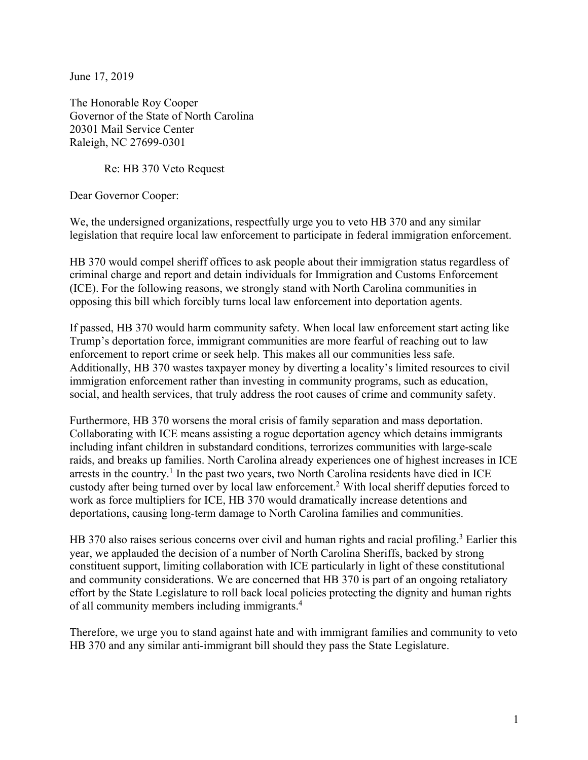June 17, 2019

The Honorable Roy Cooper Governor of the State of North Carolina 20301 Mail Service Center Raleigh, NC 27699-0301

Re: HB 370 Veto Request

Dear Governor Cooper:

We, the undersigned organizations, respectfully urge you to veto HB 370 and any similar legislation that require local law enforcement to participate in federal immigration enforcement.

HB 370 would compel sheriff offices to ask people about their immigration status regardless of criminal charge and report and detain individuals for Immigration and Customs Enforcement (ICE). For the following reasons, we strongly stand with North Carolina communities in opposing this bill which forcibly turns local law enforcement into deportation agents.

If passed, HB 370 would harm community safety. When local law enforcement start acting like Trump's deportation force, immigrant communities are more fearful of reaching out to law enforcement to report crime or seek help. This makes all our communities less safe. Additionally, HB 370 wastes taxpayer money by diverting a locality's limited resources to civil immigration enforcement rather than investing in community programs, such as education, social, and health services, that truly address the root causes of crime and community safety.

Furthermore, HB 370 worsens the moral crisis of family separation and mass deportation. Collaborating with ICE means assisting a rogue deportation agency which detains immigrants including infant children in substandard conditions, terrorizes communities with large-scale raids, and breaks up families. North Carolina already experiences one of highest increases in ICE arrests in the country.<sup>1</sup> In the past two years, two North Carolina residents have died in ICE custody after being turned over by local law enforcement.2 With local sheriff deputies forced to work as force multipliers for ICE, HB 370 would dramatically increase detentions and deportations, causing long-term damage to North Carolina families and communities.

HB 370 also raises serious concerns over civil and human rights and racial profiling.<sup>3</sup> Earlier this year, we applauded the decision of a number of North Carolina Sheriffs, backed by strong constituent support, limiting collaboration with ICE particularly in light of these constitutional and community considerations. We are concerned that HB 370 is part of an ongoing retaliatory effort by the State Legislature to roll back local policies protecting the dignity and human rights of all community members including immigrants.4

Therefore, we urge you to stand against hate and with immigrant families and community to veto HB 370 and any similar anti-immigrant bill should they pass the State Legislature.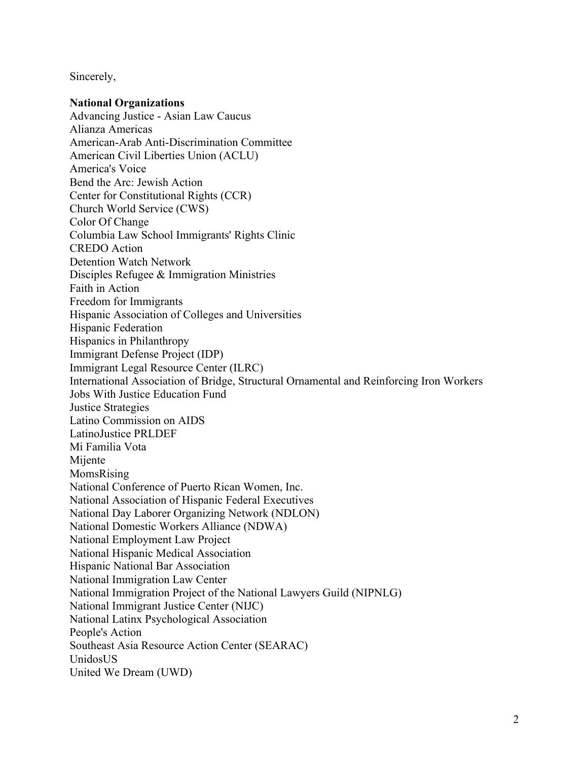Sincerely,

## **National Organizations**

Advancing Justice - Asian Law Caucus Alianza Americas American-Arab Anti-Discrimination Committee American Civil Liberties Union (ACLU) America's Voice Bend the Arc: Jewish Action Center for Constitutional Rights (CCR) Church World Service (CWS) Color Of Change Columbia Law School Immigrants' Rights Clinic CREDO Action Detention Watch Network Disciples Refugee & Immigration Ministries Faith in Action Freedom for Immigrants Hispanic Association of Colleges and Universities Hispanic Federation Hispanics in Philanthropy Immigrant Defense Project (IDP) Immigrant Legal Resource Center (ILRC) International Association of Bridge, Structural Ornamental and Reinforcing Iron Workers Jobs With Justice Education Fund Justice Strategies Latino Commission on AIDS LatinoJustice PRLDEF Mi Familia Vota Mijente MomsRising National Conference of Puerto Rican Women, Inc. National Association of Hispanic Federal Executives National Day Laborer Organizing Network (NDLON) National Domestic Workers Alliance (NDWA) National Employment Law Project National Hispanic Medical Association Hispanic National Bar Association National Immigration Law Center National Immigration Project of the National Lawyers Guild (NIPNLG) National Immigrant Justice Center (NIJC) National Latinx Psychological Association People's Action Southeast Asia Resource Action Center (SEARAC) UnidosUS United We Dream (UWD)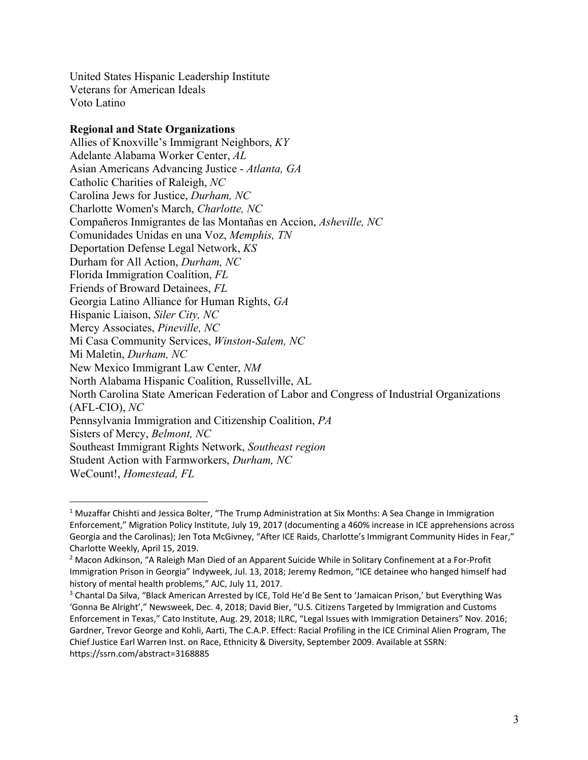United States Hispanic Leadership Institute Veterans for American Ideals Voto Latino

## **Regional and State Organizations**

Allies of Knoxville's Immigrant Neighbors, *KY* Adelante Alabama Worker Center, *AL*  Asian Americans Advancing Justice - *Atlanta, GA* Catholic Charities of Raleigh, *NC*  Carolina Jews for Justice, *Durham, NC* Charlotte Women's March, *Charlotte, NC* Compañeros Inmigrantes de las Montañas en Accion, *Asheville, NC* Comunidades Unidas en una Voz, *Memphis, TN* Deportation Defense Legal Network, *KS* Durham for All Action, *Durham, NC* Florida Immigration Coalition, *FL* Friends of Broward Detainees, *FL* Georgia Latino Alliance for Human Rights, *GA*  Hispanic Liaison, *Siler City, NC* Mercy Associates, *Pineville, NC* Mi Casa Community Services, *Winston-Salem, NC* Mi Maletin, *Durham, NC* New Mexico Immigrant Law Center, *NM* North Alabama Hispanic Coalition, Russellville, AL North Carolina State American Federation of Labor and Congress of Industrial Organizations (AFL-CIO), *NC* Pennsylvania Immigration and Citizenship Coalition, *PA* Sisters of Mercy, *Belmont, NC* Southeast Immigrant Rights Network, *Southeast region* Student Action with Farmworkers, *Durham, NC*

 $\overline{a}$ 

WeCount!, *Homestead, FL*

<sup>&</sup>lt;sup>1</sup> Muzaffar Chishti and Jessica Bolter, "The Trump Administration at Six Months: A Sea Change in Immigration Enforcement," Migration Policy Institute, July 19, 2017 (documenting a 460% increase in ICE apprehensions across Georgia and the Carolinas); Jen Tota McGivney, "After ICE Raids, Charlotte's Immigrant Community Hides in Fear," Charlotte Weekly, April 15, 2019.

<sup>2</sup> Macon Adkinson, "A Raleigh Man Died of an Apparent Suicide While in Solitary Confinement at a For-Profit Immigration Prison in Georgia" Indyweek, Jul. 13, 2018; Jeremy Redmon, "ICE detainee who hanged himself had history of mental health problems," AJC, July 11, 2017.

<sup>&</sup>lt;sup>3</sup> Chantal Da Silva, "Black American Arrested by ICE, Told He'd Be Sent to 'Jamaican Prison,' but Everything Was 'Gonna Be Alright'," Newsweek, Dec. 4, 2018; David Bier, "U.S. Citizens Targeted by Immigration and Customs Enforcement in Texas," Cato Institute, Aug. 29, 2018; ILRC, "Legal Issues with Immigration Detainers" Nov. 2016; Gardner, Trevor George and Kohli, Aarti, The C.A.P. Effect: Racial Profiling in the ICE Criminal Alien Program, The Chief Justice Earl Warren Inst. on Race, Ethnicity & Diversity, September 2009. Available at SSRN: https://ssrn.com/abstract=3168885